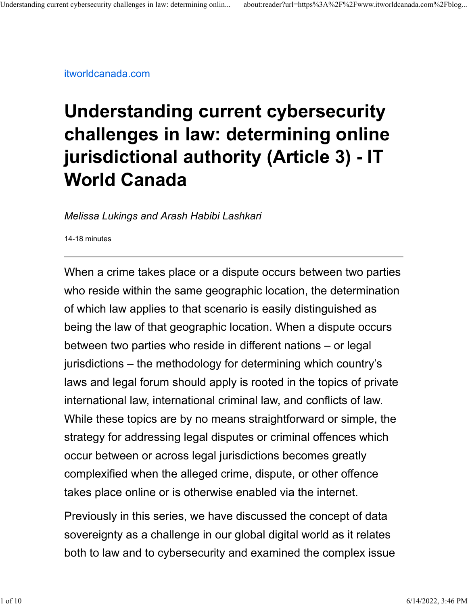[itworldcanada.com](https://www.itworldcanada.com/blog/understanding-current-cybersecurity-challenges-in-law-determining-online-jurisdictional-authority-article-3/485418)

# **Understanding current cybersecurity challenges in law: determining online jurisdictional authority (Article 3) - IT World Canada**

*Melissa Lukings and Arash Habibi Lashkari*

14-18 minutes

When a crime takes place or a dispute occurs between two parties who reside within the same geographic location, the determination of which law applies to that scenario is easily distinguished as being the law of that geographic location. When a dispute occurs between two parties who reside in different nations – or legal jurisdictions – the methodology for determining which country's laws and legal forum should apply is rooted in the topics of private international law, international criminal law, and conflicts of law. While these topics are by no means straightforward or simple, the strategy for addressing legal disputes or criminal offences which occur between or across legal jurisdictions becomes greatly complexified when the alleged crime, dispute, or other offence takes place online or is otherwise enabled via the internet.

Previously in this series, we have discussed the concept of data sovereignty as a challenge in our global digital world as it relates both to law and to cybersecurity and examined the complex issue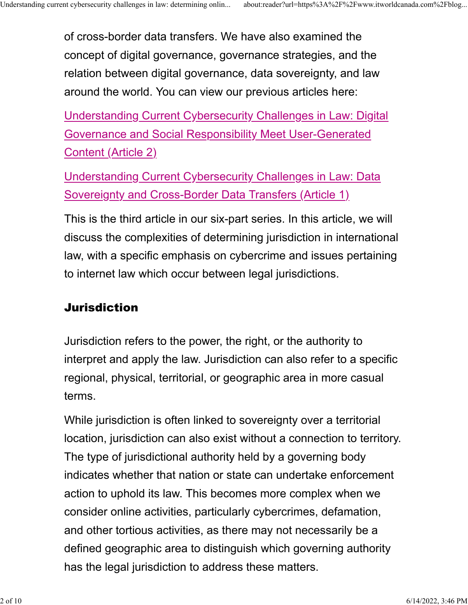of cross-border data transfers. We have also examined the concept of digital governance, governance strategies, and the relation between digital governance, data sovereignty, and law around the world. You can view our previous articles here:

[Understanding Current Cybersecurity Challenges in Law: Digital](https://www.itworldcanada.com/blog/understanding-current-cybersecurity-challenges-in-law-digital-governance-and-social-responsibility-meet-user-generated-content-article-2/482543) [Governance and Social Responsibility Meet User-Generated](https://www.itworldcanada.com/blog/understanding-current-cybersecurity-challenges-in-law-digital-governance-and-social-responsibility-meet-user-generated-content-article-2/482543) [Content \(Article 2\)](https://www.itworldcanada.com/blog/understanding-current-cybersecurity-challenges-in-law-digital-governance-and-social-responsibility-meet-user-generated-content-article-2/482543)

[Understanding Current Cybersecurity Challenges in Law: Data](https://www.itworldcanada.com/blog/understanding-current-cybersecurity-challenges-in-law-data-sovereignty-cross-border-data-transfers/478231) [Sovereignty and Cross-Border Data Transfers \(Article 1\)](https://www.itworldcanada.com/blog/understanding-current-cybersecurity-challenges-in-law-data-sovereignty-cross-border-data-transfers/478231)

This is the third article in our six-part series. In this article, we will discuss the complexities of determining jurisdiction in international law, with a specific emphasis on cybercrime and issues pertaining to internet law which occur between legal jurisdictions.

## Jurisdiction

Jurisdiction refers to the power, the right, or the authority to interpret and apply the law. Jurisdiction can also refer to a specific regional, physical, territorial, or geographic area in more casual terms.

While jurisdiction is often linked to sovereignty over a territorial location, jurisdiction can also exist without a connection to territory. The type of jurisdictional authority held by a governing body indicates whether that nation or state can undertake enforcement action to uphold its law. This becomes more complex when we consider online activities, particularly cybercrimes, defamation, and other tortious activities, as there may not necessarily be a defined geographic area to distinguish which governing authority has the legal jurisdiction to address these matters.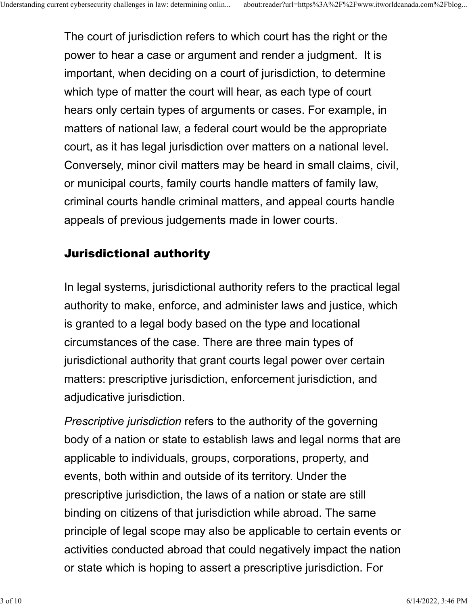The court of jurisdiction refers to which court has the right or the power to hear a case or argument and render a judgment. It is important, when deciding on a court of jurisdiction, to determine which type of matter the court will hear, as each type of court hears only certain types of arguments or cases. For example, in matters of national law, a federal court would be the appropriate court, as it has legal jurisdiction over matters on a national level. Conversely, minor civil matters may be heard in small claims, civil, or municipal courts, family courts handle matters of family law, criminal courts handle criminal matters, and appeal courts handle appeals of previous judgements made in lower courts.

#### Jurisdictional authority

In legal systems, jurisdictional authority refers to the practical legal authority to make, enforce, and administer laws and justice, which is granted to a legal body based on the type and locational circumstances of the case. There are three main types of jurisdictional authority that grant courts legal power over certain matters: prescriptive jurisdiction, enforcement jurisdiction, and adjudicative jurisdiction.

*Prescriptive jurisdiction* refers to the authority of the governing body of a nation or state to establish laws and legal norms that are applicable to individuals, groups, corporations, property, and events, both within and outside of its territory. Under the prescriptive jurisdiction, the laws of a nation or state are still binding on citizens of that jurisdiction while abroad. The same principle of legal scope may also be applicable to certain events or activities conducted abroad that could negatively impact the nation or state which is hoping to assert a prescriptive jurisdiction. For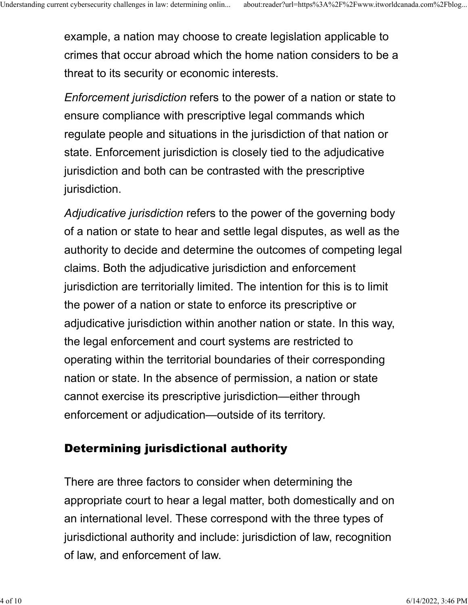example, a nation may choose to create legislation applicable to crimes that occur abroad which the home nation considers to be a threat to its security or economic interests.

*Enforcement jurisdiction* refers to the power of a nation or state to ensure compliance with prescriptive legal commands which regulate people and situations in the jurisdiction of that nation or state. Enforcement jurisdiction is closely tied to the adjudicative jurisdiction and both can be contrasted with the prescriptive jurisdiction.

*Adjudicative jurisdiction* refers to the power of the governing body of a nation or state to hear and settle legal disputes, as well as the authority to decide and determine the outcomes of competing legal claims. Both the adjudicative jurisdiction and enforcement jurisdiction are territorially limited. The intention for this is to limit the power of a nation or state to enforce its prescriptive or adjudicative jurisdiction within another nation or state. In this way, the legal enforcement and court systems are restricted to operating within the territorial boundaries of their corresponding nation or state. In the absence of permission, a nation or state cannot exercise its prescriptive jurisdiction—either through enforcement or adjudication—outside of its territory.

# Determining jurisdictional authority

There are three factors to consider when determining the appropriate court to hear a legal matter, both domestically and on an international level. These correspond with the three types of jurisdictional authority and include: jurisdiction of law, recognition of law, and enforcement of law.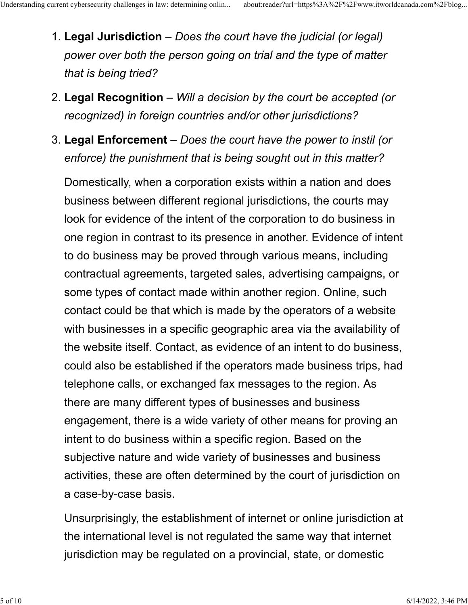- 1. **Legal Jurisdiction** *Does the court have the judicial (or legal) power over both the person going on trial and the type of matter that is being tried?*
- 2. **Legal Recognition** *Will a decision by the court be accepted (or recognized) in foreign countries and/or other jurisdictions?*
- 3. **Legal Enforcement** *Does the court have the power to instil (or enforce) the punishment that is being sought out in this matter?*

Domestically, when a corporation exists within a nation and does business between different regional jurisdictions, the courts may look for evidence of the intent of the corporation to do business in one region in contrast to its presence in another. Evidence of intent to do business may be proved through various means, including contractual agreements, targeted sales, advertising campaigns, or some types of contact made within another region. Online, such contact could be that which is made by the operators of a website with businesses in a specific geographic area via the availability of the website itself. Contact, as evidence of an intent to do business, could also be established if the operators made business trips, had telephone calls, or exchanged fax messages to the region. As there are many different types of businesses and business engagement, there is a wide variety of other means for proving an intent to do business within a specific region. Based on the subjective nature and wide variety of businesses and business activities, these are often determined by the court of jurisdiction on a case-by-case basis.

Unsurprisingly, the establishment of internet or online jurisdiction at the international level is not regulated the same way that internet jurisdiction may be regulated on a provincial, state, or domestic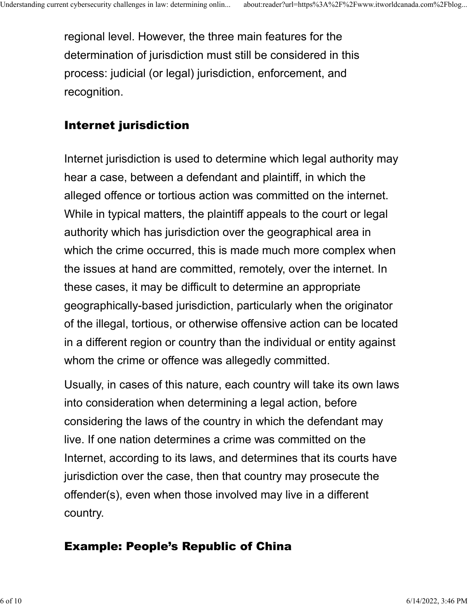regional level. However, the three main features for the determination of jurisdiction must still be considered in this process: judicial (or legal) jurisdiction, enforcement, and recognition.

#### Internet jurisdiction

Internet jurisdiction is used to determine which legal authority may hear a case, between a defendant and plaintiff, in which the alleged offence or tortious action was committed on the internet. While in typical matters, the plaintiff appeals to the court or legal authority which has jurisdiction over the geographical area in which the crime occurred, this is made much more complex when the issues at hand are committed, remotely, over the internet. In these cases, it may be difficult to determine an appropriate geographically-based jurisdiction, particularly when the originator of the illegal, tortious, or otherwise offensive action can be located in a different region or country than the individual or entity against whom the crime or offence was allegedly committed.

Usually, in cases of this nature, each country will take its own laws into consideration when determining a legal action, before considering the laws of the country in which the defendant may live. If one nation determines a crime was committed on the Internet, according to its laws, and determines that its courts have jurisdiction over the case, then that country may prosecute the offender(s), even when those involved may live in a different country.

## Example: People's Republic of China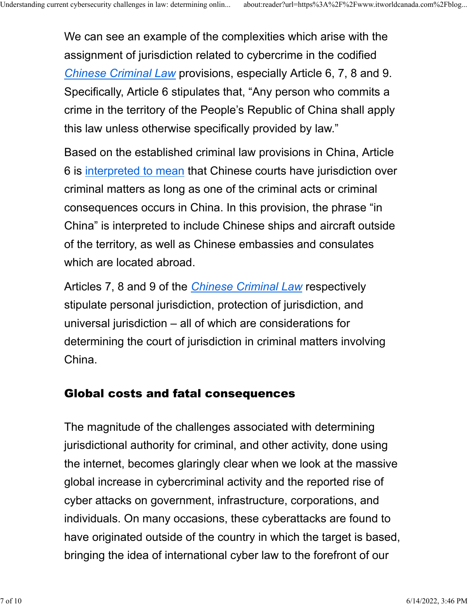We can see an example of the complexities which arise with the assignment of jurisdiction related to cybercrime in the codified *[Chinese Criminal Law](https://www.ilo.org/dyn/natlex/docs/ELECTRONIC/5375/108071/F-78796243/CHN5375%20Eng3.pdf)* provisions, especially Article 6, 7, 8 and 9. Specifically, Article 6 stipulates that, "Any person who commits a crime in the territory of the People's Republic of China shall apply this law unless otherwise specifically provided by law."

Based on the established criminal law provisions in China, Article 6 is [interpreted to mean](https://pdf.sciencedirectassets.com/280203/1-s2.0-S1877050918X00076/1-s2.0-S1877050918306434/main.pdf) that Chinese courts have jurisdiction over criminal matters as long as one of the criminal acts or criminal consequences occurs in China. In this provision, the phrase "in China" is interpreted to include Chinese ships and aircraft outside of the territory, as well as Chinese embassies and consulates which are located abroad.

Articles 7, 8 and 9 of the *[Chinese Criminal Law](https://www.ilo.org/dyn/natlex/docs/ELECTRONIC/5375/108071/F-78796243/CHN5375%20Eng3.pdf)* respectively stipulate personal jurisdiction, protection of jurisdiction, and universal jurisdiction – all of which are considerations for determining the court of jurisdiction in criminal matters involving China.

#### Global costs and fatal consequences

The magnitude of the challenges associated with determining jurisdictional authority for criminal, and other activity, done using the internet, becomes glaringly clear when we look at the massive global increase in cybercriminal activity and the reported rise of cyber attacks on government, infrastructure, corporations, and individuals. On many occasions, these cyberattacks are found to have originated outside of the country in which the target is based, bringing the idea of international cyber law to the forefront of our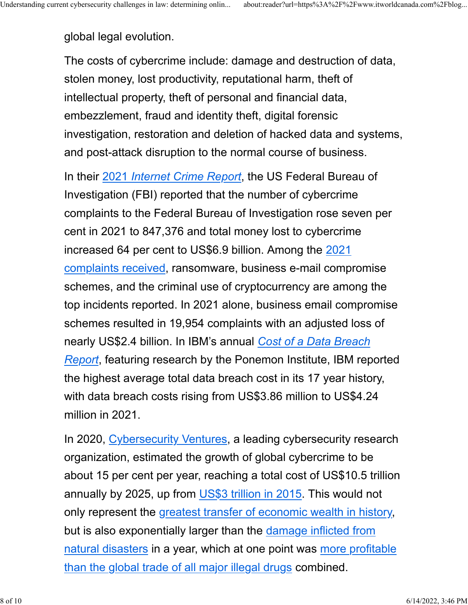global legal evolution.

The costs of cybercrime include: damage and destruction of data, stolen money, lost productivity, reputational harm, theft of intellectual property, theft of personal and financial data, embezzlement, fraud and identity theft, digital forensic investigation, restoration and deletion of hacked data and systems, and post-attack disruption to the normal course of business.

In their [2021](https://www.ic3.gov/Media/PDF/AnnualReport/2021_IC3Report.pdf) *[Internet Crime Report](https://www.ic3.gov/Media/PDF/AnnualReport/2021_IC3Report.pdf)*, the US Federal Bureau of Investigation (FBI) reported that the number of cybercrime complaints to the Federal Bureau of Investigation rose seven per cent in 2021 to 847,376 and total money lost to cybercrime increased 64 per cent to US\$6.9 billion. Among the [2021](https://www.ic3.gov/Media/PDF/AnnualReport/2021_IC3Report.pdf) [complaints received,](https://www.ic3.gov/Media/PDF/AnnualReport/2021_IC3Report.pdf) ransomware, business e-mail compromise schemes, and the criminal use of cryptocurrency are among the top incidents reported. In 2021 alone, business email compromise schemes resulted in 19,954 complaints with an adjusted loss of nearly US\$2.4 billion. In IBM's annual *[Cost of a Data Breach](https://www.ibm.com/security/data-breach) [Report](https://www.ibm.com/security/data-breach)*, featuring research by the Ponemon Institute, IBM reported the highest average total data breach cost in its 17 year history, with data breach costs rising from US\$3.86 million to US\$4.24 million in 2021.

In 2020, [Cybersecurity Ventures,](https://cybersecurityventures.com/cybercrime-damages-6-trillion-by-2021/) a leading cybersecurity research organization, estimated the growth of global cybercrime to be about 15 per cent per year, reaching a total cost of US\$10.5 trillion annually by 2025, up from [US\\$3 trillion in 2015.](https://www.microsoft.com/security/blog/2016/01/27/the-emerging-era-of-cyber-defense-and-cybercrime/) This would not only represent the [greatest transfer of economic wealth in history,](https://1c7fab3im83f5gqiow2qqs2k-wpengine.netdna-ssl.com/wp-content/uploads/2021/01/attceocyberreport_compressed.pdf) but is also exponentially larger than the [damage inflicted from](https://www.forbes.com/sites/rajindertumber/2019/01/05/cyber-attacks-igniting-the-next-recession) [natural disasters](https://www.forbes.com/sites/rajindertumber/2019/01/05/cyber-attacks-igniting-the-next-recession) in a year, which at one point was [more profitable](https://blogs.cisco.com/financialservices/how-to-prevent-the-bank-robbery-no-one-can-see) [than the global trade of all major illegal drugs](https://blogs.cisco.com/financialservices/how-to-prevent-the-bank-robbery-no-one-can-see) combined.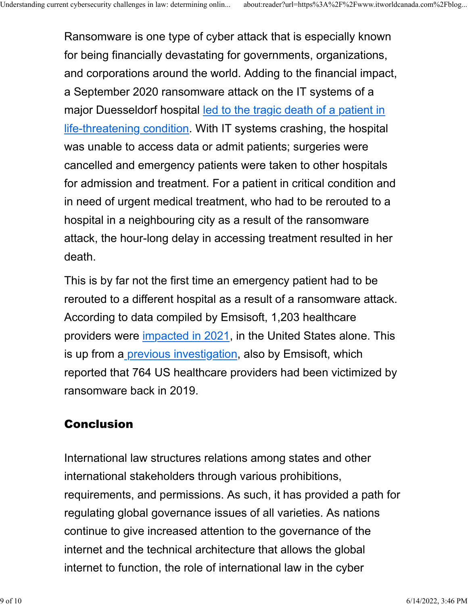Ransomware is one type of cyber attack that is especially known for being financially devastating for governments, organizations, and corporations around the world. Adding to the financial impact, a September 2020 ransomware attack on the IT systems of a major Duesseldorf hospital [led to the tragic death of a patient in](https://apnews.com/article/technology-hacking-europe-cf8f8eee1adcec69bcc864f2c4308c94) [life-threatening condition.](https://apnews.com/article/technology-hacking-europe-cf8f8eee1adcec69bcc864f2c4308c94) With IT systems crashing, the hospital was unable to access data or admit patients; surgeries were cancelled and emergency patients were taken to other hospitals for admission and treatment. For a patient in critical condition and in need of urgent medical treatment, who had to be rerouted to a hospital in a neighbouring city as a result of the ransomware attack, the hour-long delay in accessing treatment resulted in her death.

This is by far not the first time an emergency patient had to be rerouted to a different hospital as a result of a ransomware attack. According to data compiled by Emsisoft, 1,203 healthcare providers were [impacted in 2021,](https://blog.emsisoft.com/en/40813/the-state-of-ransomware-in-the-us-report-and-statistics-2021/) in the United States alone. This is up from [a previous investigation,](https://blog.emsisoft.com/en/34822/the-state-of-ransomware-in-the-us-report-and-statistics-2019/) also by Emsisoft, which reported that 764 US healthcare providers had been victimized by ransomware back in 2019.

# Conclusion

International law structures relations among states and other international stakeholders through various prohibitions, requirements, and permissions. As such, it has provided a path for regulating global governance issues of all varieties. As nations continue to give increased attention to the governance of the internet and the technical architecture that allows the global internet to function, the role of international law in the cyber